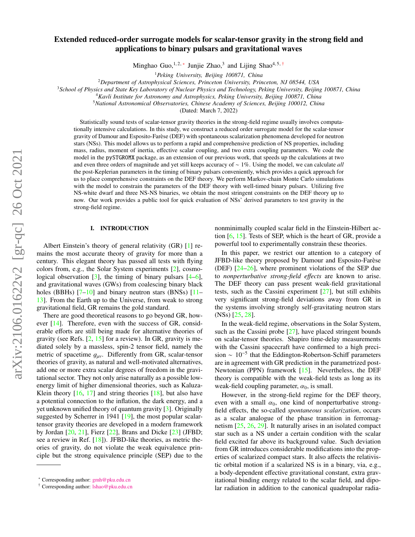# arXiv:2106.01622v2 [gr-qc] 26 Oct 2021 arXiv:2106.01622v2 [gr-qc] 26 Oct 2021

# Extended reduced-order surrogate models for scalar-tensor gravity in the strong field and applications to binary pulsars and gravitational waves

Minghao Guo,<sup>1,2,\*</sup> Junjie Zhao,<sup>3</sup> and Lijing Shao<sup>4,5,[†](#page-0-1)</sup>

<sup>1</sup>*Peking University, Beijing 100871, China*

<sup>2</sup>*Department of Astrophysical Sciences, Princeton University, Princeton, NJ 08544, USA*

<sup>3</sup>*School of Physics and State Key Laboratory of Nuclear Physics and Technology, Peking University, Beijing 100871, China*

<sup>4</sup>*Kavli Institute for Astronomy and Astrophysics, Peking University, Beijing 100871, China*

<sup>5</sup>*National Astronomical Observatories, Chinese Academy of Sciences, Beijing 100012, China*

(Dated: March 7, 2022)

Statistically sound tests of scalar-tensor gravity theories in the strong-field regime usually involves computationally intensive calculations. In this study, we construct a reduced order surrogate model for the scalar-tensor gravity of Damour and Esposito-Farese (DEF) with spontaneous scalarization phenomena developed for neutron ` stars (NSs). This model allows us to perform a rapid and comprehensive prediction of NS properties, including mass, radius, moment of inertia, effective scalar coupling, and two extra coupling parameters. We code the model in the pySTGROMX package, as an extension of our previous work, that speeds up the calculations at two and even three orders of magnitude and yet still keeps accuracy of ∼ 1%. Using the model, we can calculate *all* the post-Keplerian parameters in the timing of binary pulsars conveniently, which provides a quick approach for us to place comprehensive constraints on the DEF theory. We perform Markov-chain Monte Carlo simulations with the model to constrain the parameters of the DEF theory with well-timed binary pulsars. Utilizing five NS-white dwarf and three NS-NS binaries, we obtain the most stringent constraints on the DEF theory up to now. Our work provides a public tool for quick evaluation of NSs' derived parameters to test gravity in the strong-field regime.

# I. INTRODUCTION

Albert Einstein's theory of general relativity (GR) [\[1\]](#page-13-0) remains the most accurate theory of gravity for more than a century. This elegant theory has passed all tests with flying colors from, e.g., the Solar System experiments [\[2\]](#page-13-1), cosmological observation  $[3]$ , the timing of binary pulsars  $[4-6]$  $[4-6]$ , and gravitational waves (GWs) from coalescing binary black holes (BBHs)  $[7-10]$  $[7-10]$  and binary neutron stars (BNSs)  $[11-$ [13\]](#page-13-8). From the Earth up to the Universe, from weak to strong gravitational field, GR remains the gold standard.

There are good theoretical reasons to go beyond GR, however [\[14\]](#page-13-9). Therefore, even with the success of GR, considerable efforts are still being made for alternative theories of gravity (see Refs.  $[2, 15]$  $[2, 15]$  $[2, 15]$  for a review). In GR, gravity is mediated solely by a massless, spin-2 tensor field, namely the metric of spacetime  $g_{\mu\nu}$ . Differently from GR, scalar-tensor theories of gravity, as natural and well-motivated alternatives, add one or more extra scalar degrees of freedom in the gravitational sector. They not only arise naturally as a possible lowenergy limit of higher dimensional theories, such as Kaluza-Klein theory  $[16, 17]$  $[16, 17]$  $[16, 17]$  and string theories  $[18]$ , but also have a potential connection to the inflation, the dark energy, and a yet unknown unified theory of quantum gravity [\[3\]](#page-13-2). Originally suggested by Scherrer in 1941 [\[19\]](#page-13-14), the most popular scalartensor gravity theories are developed in a modern framework by Jordan [\[20,](#page-13-15) [21\]](#page-13-16), Fierz [\[22\]](#page-13-17), Brans and Dicke [\[23\]](#page-13-18) (JFBD; see a review in Ref. [\[18\]](#page-13-13)). JFBD-like theories, as metric theories of gravity, do not violate the weak equivalence principle but the strong equivalence principle (SEP) due to the

nonminimally coupled scalar field in the Einstein-Hilbert action [\[6,](#page-13-4) [15\]](#page-13-10). Tests of SEP, which is the heart of GR, provide a powerful tool to experimentally constrain these theories.

In this paper, we restrict our attention to a category of JFBD-like theory proposed by Damour and Esposito-Farèse (DEF) [\[24](#page-13-19)[–26\]](#page-13-20), where prominent violations of the SEP due to *nonperturbative strong-field e*ff*ects* are known to arise. The DEF theory can pass present weak-field gravitational tests, such as the Cassini experiment [\[27\]](#page-13-21), but still exhibits very significant strong-field deviations away from GR in the systems involving strongly self-gravitating neutron stars (NSs) [\[25,](#page-13-22) [28\]](#page-13-23).

In the weak-field regime, observations in the Solar System, such as the Cassini probe  $[27]$ , have placed stringent bounds on scalar-tensor theories. Shapiro time-delay measurements with the Cassini spacecraft have confirmed to a high precision ∼ 10<sup>−</sup><sup>5</sup> that the Eddington-Robertson-Schiff parameters are in agreement with GR prediction in the parametrized post-Newtonian (PPN) framework [\[15\]](#page-13-10). Nevertheless, the DEF theory is compatible with the weak-field tests as long as its weak-field coupling parameter,  $\alpha_0$ , is small.

However, in the strong-field regime for the DEF theory, even with a small  $\alpha_0$ , one kind of nonperturbative strongfield effects, the so-called *spontaneous scalarization*, occurs as a scalar analogue of the phase transition in ferromagnetism [\[25,](#page-13-22) [26,](#page-13-20) [29\]](#page-13-24). It naturally arises in an isolated compact star such as a NS under a certain condition with the scalar field excited far above its background value. Such deviation from GR introduces considerable modifications into the properties of scalarized compact stars. It also affects the relativistic orbital motion if a scalarized NS is in a binary, via, e.g., a body-dependent effective gravitational constant, extra gravitational binding energy related to the scalar field, and dipolar radiation in addition to the canonical quadrupolar radia-

<span id="page-0-0"></span><sup>∗</sup> Corresponding author: [gmh@pku.edu.cn](mailto:gmh@pku.edu.cn)

<span id="page-0-1"></span><sup>†</sup> Corresponding author: [lshao@pku.edu.cn](mailto:lshao@pku.edu.cn)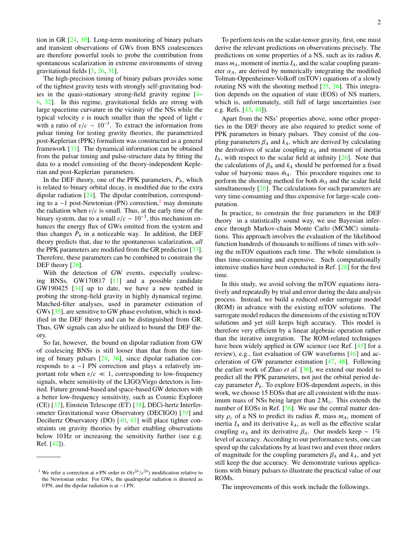tion in GR [\[24,](#page-13-19) [30\]](#page-13-25). Long-term monitoring of binary pulsars and transient observations of GWs from BNS coalescences are therefore powerful tools to probe the contribution from spontaneous scalarization in extreme environments of strong gravitational fields [\[5,](#page-13-26) [26,](#page-13-20) [31\]](#page-13-27).

The high-precision timing of binary pulsars provides some of the tightest gravity tests with strongly self-gravitating bodies in the quasi-stationary strong-field gravity regime [\[4–](#page-13-3) [6,](#page-13-4) [32\]](#page-13-28). In this regime, gravitational fields are strong with large spacetime curvature in the vicinity of the NSs while the typical velocity v is much smaller than the speed of light *<sup>c</sup>* with a ratio of  $v/c \sim 10^{-3}$ . To extract the information from<br>pulsar timing for testing gravity theories, the parametrized pulsar timing for testing gravity theories, the parametrized post-Keplerian (PPK) formalism was constructed as a general framework [\[33\]](#page-13-29). The dynamical information can be obtained from the pulsar timing and pulse-structure data by fitting the data to a model consisting of the theory-independent Keplerian and post-Keplerian parameters.

In the DEF theory, one of the PPK parameters,  $\dot{P}_b$ , which is related to binary orbital decay, is modified due to the extra dipolar radiation [\[24\]](#page-13-19). The dipolar contribution, corresponding to a  $-1$  $-1$  post-Newtonian (PN) correction,<sup>1</sup> may dominate the radiation when  $v/c$  is small. Thus, at the early time of the binary system, due to a small  $v/c \sim 10^{-3}$ , this mechanism en-<br>hances the energy flux of GWs emitted from the system and hances the energy flux of GWs emitted from the system and thus changes  $\dot{P}_b$  in a noticeable way. In addition, the DEF theory predicts that, due to the spontaneous scalarization, *all* the PPK parameters are modified from the GR prediction [\[33\]](#page-13-29). Therefore, these parameters can be combined to constrain the DEF theory [\[26\]](#page-13-20).

With the detection of GW events, especially coalescing BNSs, GW170817 [\[11\]](#page-13-7) and a possible candidate GW190425 [\[34\]](#page-13-30) up to date, we have a new testbed in probing the strong-field gravity in highly dynamical regime. Matched-filter analyses, used in parameter estimation of GWs [\[35\]](#page-14-0), are sensitive to GW phase evolution, which is modified in the DEF theory and can be distinguished from GR. Thus, GW signals can also be utilized to bound the DEF theory.

So far, however, the bound on dipolar radiation from GW of coalescing BNSs is still looser than that from the timing of binary pulsars [\[28,](#page-13-23) [36\]](#page-14-1), since dipolar radiation corresponds to a −1 PN correction and plays a relatively important role when  $v/c \ll 1$ , corresponding to low-frequency signals, where sensitivity of the LIGO/Virgo detectors is limited. Future ground-based and space-based GW detectors with a better low-frequency sensitivity, such as Cosmic Explorer (CE) [\[37\]](#page-14-2), Einstein Telescope (ET) [\[38\]](#page-14-3), DECi-hertz Interferometer Gravitational wave Observatory (DECIGO) [\[39\]](#page-14-4) and Decihertz Observatory (DO) [\[40,](#page-14-5) [41\]](#page-14-6) will place tighter constraints on gravity theories by either enabling observations below 10 Hz or increasing the sensitivity further (see e.g. Ref. [\[42\]](#page-14-7)).

To perform tests on the scalar-tensor gravity, first, one must derive the relevant predictions on observations precisely. The predictions on some properties of a NS, such as its radius *R*, mass  $m_A$ , moment of inertia  $I_A$ , and the scalar coupling parameter  $\alpha_A$ , are derived by numerically integrating the modified Tolman-Oppenheimer-Volkoff (mTOV) equations of a slowly rotating NS with the shooting method [\[25,](#page-13-22) [26\]](#page-13-20). This integration depends on the equation of state (EOS) of NS matters, which is, unfortunately, still full of large uncertainties (see e.g. Refs. [\[43,](#page-14-8) [44\]](#page-14-9)).

Apart from the NSs' properties above, some other properties in the DEF theory are also required to predict some of PPK parameters in binary pulsars. They consist of the coupling parameters  $\beta_A$  and  $k_A$ , which are derived by calculating the derivatives of scalar coupling  $\alpha_A$  and moment of inertia  $I_A$ , with respect to the scalar field at infinity  $[26]$ . Note that the calculations of  $\beta_A$  and  $k_A$  should be performed for a fixed value of baryonic mass  $\bar{m}_A$ . This procedure requires one to perform the shooting method for both  $\bar{m}_A$  and the scalar field simultaneously [\[26\]](#page-13-20). The calculations for such parameters are very time-consuming and thus expensive for large-scale computation.

In practice, to constrain the free parameters in the DEF theory in a statistically sound way, we use Bayesian inference through Markov-chain Monte Carlo (MCMC) simulations. This approach involves the evaluation of the likelihood function hundreds of thousands to millions of times with solving the mTOV equations each time. The whole simulation is thus time-consuming and expensive. Such computationally intensive studies have been conducted in Ref. [\[28\]](#page-13-23) for the first time.

In this study, we avoid solving the mTOV equations iteratively and repeatedly by trial and error during the data analysis process. Instead, we build a reduced order surrogate model (ROM) in advance with the existing mTOV solutions. The surrogate model reduces the dimensions of the existing mTOV solutions and yet still keeps high accuracy. This model is therefore very efficient by a linear algebraic operation rather than the iterative integration. The ROM-related techniques have been widely applied in GW science (see Ref. [\[45\]](#page-14-10) for a review), e.g., fast evaluation of GW waveforms [\[46\]](#page-14-11) and acceleration of GW parameter estimation [\[47,](#page-14-12) [48\]](#page-14-13). Following the earlier work of Zhao *et al.* [\[36\]](#page-14-1), we extend our model to predict all the PPK parameters, not just the orbital period decay parameter  $\dot{P}_b$ . To explore EOS-dependent aspects, in this work, we choose 15 EOSs that are all consistent with the maximum mass of NSs being larger than  $2 M_{\odot}$ . This extends the number of EOSs in Ref. [\[36\]](#page-14-1). We use the central matter density  $\rho_c$  of a NS to predict its radius *R*, mass  $m_A$ , moment of inertia  $I_A$  and its derivative  $k_A$ , as well as the effective scalar coupling  $\alpha_A$  and its derivative  $\beta_A$ . Our models keep ~ 1% level of accuracy. According to our performance tests, one can speed up the calculations by at least two and even three orders of magnitude for the coupling parameters  $\beta_A$  and  $k_A$ , and yet still keep the due accuracy. We demonstrate various applications with binary pulsars to illustrate the practical value of our ROMs.

The improvements of this work include the followings.

<span id="page-1-0"></span><sup>&</sup>lt;sup>1</sup> We refer a correction at *n* PN order to  $O(v^{2n}/c^{2n})$  modification relative to the Newtonian order. For GWs, the quadrupolar radiation is denoted as the Newtonian order. For GWs, the quadrupolar radiation is denoted as 0 PN, and the dipolar radiation is at −1 PN.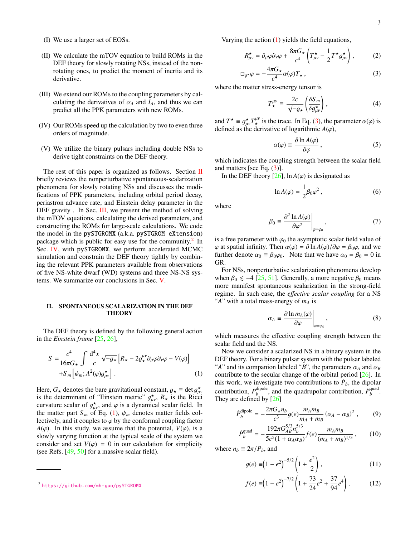- (I) We use a larger set of EOSs.
- (II) We calculate the mTOV equation to build ROMs in the DEF theory for slowly rotating NSs, instead of the nonrotating ones, to predict the moment of inertia and its derivative.
- (III) We extend our ROMs to the coupling parameters by calculating the derivatives of  $\alpha_A$  and  $I_A$ , and thus we can predict all the PPK parameters with new ROMs.
- (IV) Our ROMs speed up the calculation by two to even three orders of magnitude.
- (V) We utilize the binary pulsars including double NSs to derive tight constraints on the DEF theory.

The rest of this paper is organized as follows. Section [II](#page-2-0) briefly reviews the nonperturbative spontaneous-scalarization phenomena for slowly rotating NSs and discusses the modifications of PPK parameters, including orbital period decay, periastron advance rate, and Einstein delay parameter in the DEF gravity . In Sec. [III,](#page-3-0) we present the method of solving the mTOV equations, calculating the derived parameters, and constructing the ROMs for large-scale calculations. We code the model in the pySTGROMX (a.k.a. pySTGROM eXtension) package which is public for easy use for the community.<sup>[2](#page-2-1)</sup> In Sec. [IV,](#page-7-0) with pySTGROMX, we perform accelerated MCMC simulation and constrain the DEF theory tightly by combining the relevant PPK parameters available from observations of five NS-white dwarf (WD) systems and three NS-NS systems. We summarize our conclusions in Sec. [V.](#page-10-0)

# <span id="page-2-0"></span>II. SPONTANEOUS SCALARIZATION IN THE DEF **THEORY**

The DEF theory is defined by the following general action in the *Einstein frame* [\[25,](#page-13-22) [26\]](#page-13-20),

<span id="page-2-2"></span>
$$
S = \frac{c^4}{16\pi G_\star} \int \frac{d^4 x}{c} \sqrt{-g_\star} \left[ R_\star - 2g_\star^{\mu\nu} \partial_\mu \varphi \partial_\nu \varphi - V(\varphi) \right] + S_m \left[ \psi_m; A^2(\varphi) g_{\mu\nu}^\star \right].
$$
 (1)

Here,  $G_{\star}$  denotes the bare gravitational constant,  $g_{\star} \equiv \det g_{\mu}^{\star}$ <br>is the determinant of "Finstein metric"  $g^{\star}$ . R, is the Ricc is the determinant of "Einstein metric"  $g_{\mu\nu}^*$ ,  $R_{\star}$  is the Ricci<br>curvature scalar of  $g_{\star}^*$  and  $g$  is a dynamical scalar field. In curvature scalar of  $g_{\mu\nu}^*$ , and  $\varphi$  is a dynamical scalar field. In the matter part  $S_{\mu\nu}$  of Eq. (1)  $\psi_{\mu\nu}$  denotes matter fields colthe matter part  $S_m$  of Eq. [\(1\)](#page-2-2),  $\psi_m$  denotes matter fields collectively, and it couples to  $\varphi$  by the conformal coupling factor *A*( $\varphi$ ). In this study, we assume that the potential, *V*( $\varphi$ ), is a slowly varying function at the typical scale of the system we consider and set  $V(\varphi) = 0$  in our calculation for simplicity (see Refs. [\[49,](#page-14-14) [50\]](#page-14-15) for a massive scalar field).

Varying the action [\(1\)](#page-2-2) yields the field equations,

<span id="page-2-3"></span>
$$
R^{\star}_{\mu\nu} = \partial_{\mu}\varphi \partial_{\nu}\varphi + \frac{8\pi G_{\star}}{c^4} \left( T^{\star}_{\mu\nu} - \frac{1}{2} T^{\star} g^{\star}_{\mu\nu} \right), \tag{2}
$$

$$
\Box_{g^*} \varphi = -\frac{4\pi G_\star}{c^4} \alpha(\varphi) T_\star , \qquad (3)
$$

where the matter stress-energy tensor is

$$
T^{\mu\nu}_{\star} \equiv \frac{2c}{\sqrt{-g_{\star}}} \left( \frac{\delta S_m}{\delta g_{\mu\nu}^{\star}} \right), \tag{4}
$$

and  $T^* \equiv g_{\mu\nu}^* T_{*}^{\mu\nu}$  is the trace. In Eq. [\(3\)](#page-2-3), the parameter  $\alpha(\varphi)$  is defined as the derivative of logarithmic  $A(\varphi)$ defined as the derivative of logarithmic  $A(\varphi)$ ,

$$
\alpha(\varphi) \equiv \frac{\partial \ln A(\varphi)}{\partial \varphi},
$$
\n(5)

which indicates the coupling strength between the scalar field and matters [see Eq. [\(3\)](#page-2-3)].

In the DEF theory  $[26]$ ,  $\ln A(\varphi)$  is designated as

$$
\ln A(\varphi) = \frac{1}{2}\beta_0\varphi^2, \qquad (6)
$$

where

$$
\beta_0 \equiv \frac{\partial^2 \ln A(\varphi)}{\partial \varphi^2} \bigg|_{\varphi = \varphi_0},\tag{7}
$$

is a free parameter with  $\varphi_0$  the asymptotic scalar field value of  $\varphi$  at spatial infinity. Then  $\alpha(\varphi) = \partial \ln A(\varphi)/\partial \varphi = \beta_0 \varphi$ , and we further denote  $\alpha_0 \equiv \beta_0 \varphi_0$ . Note that we have  $\alpha_0 = \beta_0 = 0$  in GR.

For NSs, nonperturbative scalarization phenomena develop when  $\beta_0 \le -4$  [\[25,](#page-13-22) [51\]](#page-14-16). Generally, a more negative  $\beta_0$  means more manifest spontaneous scalarization in the strong-field regime. In such case, the *e*ff*ective scalar coupling* for a NS "*A*" with a total mass-energy of *m<sup>A</sup>* is

$$
\alpha_A \equiv \frac{\partial \ln m_A(\varphi)}{\partial \varphi}\bigg|_{\varphi = \varphi_0},\tag{8}
$$

which measures the effective coupling strength between the scalar field and the NS.

Now we consider a scalarized NS in a binary system in the DEF theory. For a binary pulsar system with the pulsar labeled "*A*" and its companion labeled "*B*", the parameters  $\alpha_A$  and  $\alpha_B$ contribute to the secular change of the orbital period [\[26\]](#page-13-20). In this work, we investigate two contributions to  $\hat{P}_b$ , the dipolar contribution,  $\dot{P}_h^{\text{dipole}}$  $\dot{p}_{b}^{\text{dipole}}$ , and the quadrupolar contribution,  $\dot{P}_{b}^{\text{quad}}$ *b* . They are defined by [\[26\]](#page-13-20)

<span id="page-2-4"></span>
$$
\dot{P}_b^{\text{dipole}} = -\frac{2\pi G_\star n_b}{c^3} g(e) \frac{m_A m_B}{m_A + m_B} \left(\alpha_A - \alpha_B\right)^2 \,,\tag{9}
$$

$$
\dot{b}_{b}^{\text{quad}} = -\frac{192\pi G_{AB}^{5/3} n_b^{5/3}}{5c^5 (1 + \alpha_A \alpha_B)} f(e) \frac{m_A m_B}{(m_A + m_B)^{1/3}}, \qquad (10)
$$

where  $n_b \equiv 2\pi/P_b$ , and

*P*˙

$$
g(e) \equiv (1 - e^2)^{-5/2} \left( 1 + \frac{e^2}{2} \right), \tag{11}
$$

$$
f(e) \equiv (1 - e^2)^{-7/2} \left( 1 + \frac{73}{24} e^2 + \frac{37}{94} e^4 \right). \tag{12}
$$

<span id="page-2-1"></span><sup>2</sup> <https://github.com/mh-guo/pySTGROMX>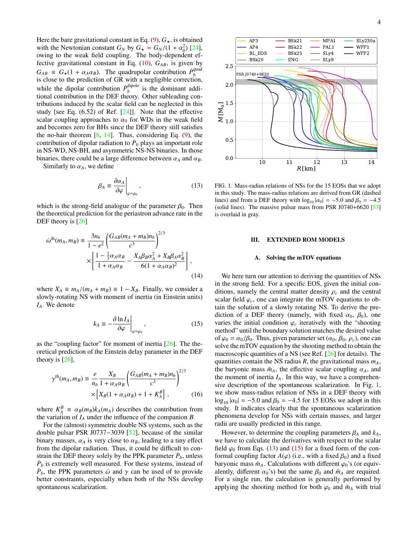Here the bare gravitational constant in Eq.  $(9)$ ,  $G_{\star}$ , is obtained with the Newtonian constant  $G_N$  by  $G_{\star} = G_N/(1 + \alpha_0^2)$  [\[24\]](#page-13-19),<br>owing to the weak field coupling. The body-dependent efowing to the weak field coupling. The body-dependent effective gravitational constant in Eq.  $(10)$ ,  $G_{AB}$ , is given by  $G_{AB} \equiv G_{\star}(1 + \alpha_A \alpha_B)$ . The quadrupolar contribution  $\dot{P}_{b}^{\text{quad}}$ <br>is close to the prediction of GR with a negligible correction *b* is close to the prediction of GR with a negligible correction, while the dipolar contribution  $\dot{P}_h^{\text{dipole}}$  $b$ <sup>ulpole</sup> is the dominant additional contribution in the DEF theory. Other subleading contributions induced by the scalar field can be neglected in this study [see Eq.  $(6.52)$  of Ref.  $[24]$ ]. Note that the effective scalar coupling approaches to  $\alpha_0$  for WDs in the weak field and becomes zero for BHs since the DEF theory still satisfies the no-hair theorem [\[8,](#page-13-31) [14\]](#page-13-9). Thus, considering Eq. [\(9\)](#page-2-4), the contribution of dipolar radiation to  $\dot{P}_b$  plays an important role in NS-WD, NS-BH, and asymmetric NS-NS binaries. In those binaries, there could be a large difference between  $\alpha_A$  and  $\alpha_B$ .

Similarly to  $\alpha_A$ , we define

<span id="page-3-2"></span>
$$
\beta_A \equiv \left. \frac{\partial \alpha_A}{\partial \varphi} \right|_{\varphi = \varphi_0},\tag{13}
$$

which is the strong-field analogue of the parameter  $\beta_0$ . Then the theoretical prediction for the periastron advance rate in the DEF theory is [\[26\]](#page-13-20)

$$
\dot{\omega}^{\text{th}}(m_A, m_B) \equiv \frac{3n_b}{1 - e^2} \left( \frac{G_{AB}(m_A + m_B)n_b}{c^3} \right)^{2/3} \times \left[ \frac{1 - \frac{1}{3}\alpha_A \alpha_B}{1 + \alpha_A \alpha_B} - \frac{X_A \beta_B \alpha_A^2 + X_B \beta_A \alpha_B^2}{6(1 + \alpha_A \alpha_B)^2} \right],
$$
\n(14)

where  $X_A \equiv m_A/(m_A + m_B) \equiv 1 - X_B$ . Finally, we consider a slowly-rotating NS with moment of inertia (in Einstein units) *IA*. We denote

<span id="page-3-3"></span>
$$
k_A \equiv -\frac{\partial \ln I_A}{\partial \varphi}\bigg|_{\varphi = \varphi_0},\tag{15}
$$

as the "coupling factor" for moment of inertia  $[26]$ . The theoretical prediction of the Einstein delay parameter in the DEF theory is  $[26]$ ,

$$
\gamma^{\text{th}}(m_A, m_B) \equiv \frac{e}{n_b} \frac{X_B}{1 + \alpha_A \alpha_B} \left( \frac{G_{AB}(m_A + m_B)n_b}{c^3} \right)^{2/3} \times \left[ X_B (1 + \alpha_A \alpha_B) + 1 + K_A^B \right], \tag{16}
$$

where  $K_A^B \equiv \alpha_B(m_B)k_A(m_A)$  describes the contribution from<br>the variation of *L*, under the influence of the companion *R* the variation of  $I_A$  under the influence of the companion *B*.

For the (almost) symmetric double NS systems, such as the double pulsar PSR J0737−3039 [\[52\]](#page-14-17), because of the similar binary masses,  $\alpha_A$  is very close to  $\alpha_B$ , leading to a tiny effect from the dipolar radiation. Thus, it could be difficult to constrain the DEF theory solely by the PPK parameter  $\dot{P}_b$ , unless  $\dot{P}_b$  is extremely well measured. For these systems, instead of  $\dot{P}_b$ , the PPK parameters  $\dot{\omega}$  and  $\gamma$  can be used of to provide better constraints especially when both of the NSs develop better constraints, especially when both of the NSs develop spontaneous scalarization.



<span id="page-3-1"></span>FIG. 1. Mass-radius relations of NSs for the 15 EOSs that we adopt in this study. The mass-radius relations are derived from GR (dashed lines) and from a DEF theory with  $\log_{10} |\alpha_0| = -5.0$  and  $\beta_0 = -4.5$ (solid lines). The massive pulsar mass from PSR J0740+6620  $[53]$ is overlaid in gray.

### <span id="page-3-0"></span>III. EXTENDED ROM MODELS

# <span id="page-3-4"></span>A. Solving the mTOV equations

We here turn our attention to deriving the quantities of NSs in the strong field. For a specific EOS, given the initial conditions, namely the central matter density  $\rho_c$  and the central scalar field  $\varphi_c$ , one can integrate the mTOV equations to obtain the solution of a slowly rotating NS. To derive the prediction of a DEF theory (namely, with fixed  $\alpha_0$ ,  $\beta_0$ ), one varies the initial condition  $\varphi_c$  iteratively with the "shooting" method" until the boundary solution matches the desired value of  $\varphi_0 = \alpha_0/\beta_0$ . Thus, given parameter set  $(\alpha_0, \beta_0, \rho_c)$ , one can solve the mTOV equation by the shooting method to obtain the macroscopic quantities of a NS (see Ref. [\[26\]](#page-13-20) for details). The quantities contain the NS radius *R*, the gravitational mass *mA*, the baryonic mass  $\bar{m}_A$ , the effective scalar coupling  $\alpha_A$ , and the moment of inertia  $I_A$ . In this way, we have a comprehensive description of the spontaneous scalarization. In Fig. [1,](#page-3-1) we show mass-radius relation of NSs in a DEF theory with  $\log_{10}$   $|\alpha_0|$  = −5.0 and  $\beta_0$  = −4.5 for 15 EOSs we adopt in this study. It indicates clearly that the spontaneous scalarization phenomena develop for NSs with certain masses, and larger radii are usually predicted in this range.

However, to determine the coupling parameters  $\beta_A$  and  $k_A$ , we have to calculate the derivatives with respect to the scalar field  $\varphi_0$  from Eqs. [\(13\)](#page-3-2) and [\(15\)](#page-3-3) for a fixed form of the conformal coupling factor  $A(\varphi)$  (i.e., with a fixed  $\beta_0$ ) and a fixed baryonic mass  $\bar{m}_A$ . Calculations with different  $\varphi_0$ 's (or equivalently, different  $\alpha_0$ 's) but the same  $\beta_0$  and  $\bar{m}_A$  are required. For a single run, the calculation is generally performed by applying the shooting method for both  $\varphi_0$  and  $\bar{m}_A$  with trial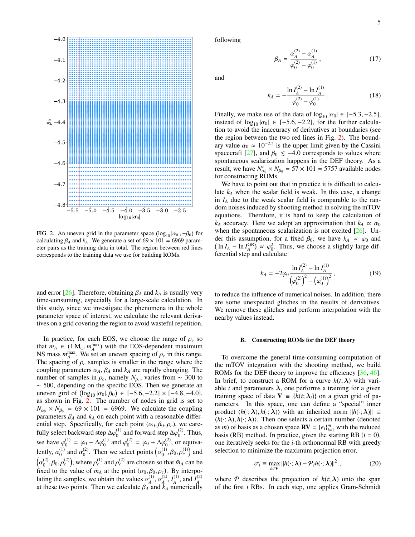

<span id="page-4-0"></span>FIG. 2. An uneven grid in the parameter space  $(\log_{10} |\alpha_0|, -\beta_0)$  for calculating  $\beta_0$  and  $k$ . We generate a set of 69 × 101 = 6969 paramcalculating  $\beta_A$  and  $k_A$ . We generate a set of  $69 \times 101 = 6969$  parameter pairs as the training data in total. The region between red lines corresponds to the training data we use for building ROMs.

and error [\[26\]](#page-13-20). Therefore, obtaining  $\beta_A$  and  $k_A$  is usually very time-consuming, especially for a large-scale calculation. In this study, since we investigate the phenomena in the whole parameter space of interest, we calculate the relevant derivatives on a grid covering the region to avoid wasteful repetition.

In practice, for each EOS, we choose the range of  $\rho_c$  so that  $m_A \in (1 \text{ M}_{\odot}, m_A^{\text{max}})$  with the EOS-dependent maximum<br>NS mass  $m_{\text{max}}$  We set an uneven spacing of a in this range NS mass  $m_A^{\text{max}}$ . We set an uneven spacing of  $\rho_c$  in this range.<br>The spacing of  $\rho_s$  samples is smaller in the range where the The spacing of  $\rho_c$  samples is smaller in the range where the coupling parameters  $\alpha_A$ ,  $\beta_A$  and  $k_A$  are rapidly changing. The number of samples in  $\rho_c$ , namely  $N_{\rho_c}$ , varies from ∼ 300 to ~ 500 depending on the specific FOS. Then we generate an ∼ 500, depending on the specific EOS. Then we generate an uneven gird of  $(\log_{10} | \alpha_0|, \beta_0) \in [-5.6, -2.2] \times [-4.8, -4.0]$ ,<br>as shown in Fig. 2. The number of nodes in grid is set to as shown in Fig. [2.](#page-4-0) The number of nodes in grid is set to  $N_{\alpha_0} \times N_{\beta_0} = 69 \times 101 = 6969$ . We calculate the coupling parameters  $\beta_A$  and  $k_A$  on each point with a reasonable differential step. Specifically, for each point  $(\alpha_0, \beta_0, \rho_c)$ , we carefully select backward step  $\Delta\varphi_0^{(1)}$  $^{(1)}_{0}$  and forward step  $\Delta\varphi_0^{(2)}$  $_0^{(2)}$ . Thus, we have  $\varphi_0^{(1)}$  $\phi_0^{(1)} = \varphi_0 - \Delta \varphi_0^{(1)}$  $^{(1)}_{0}$  and  $\varphi_0^{(2)}$  $\phi_0^{(2)} = \varphi_0 + \Delta \varphi_0^{(2)}$  $_0^{(2)}$ , or equivalently,  $\alpha_0^{(1)}$  $\alpha_0^{(1)}$  and  $\alpha_0^{(2)}$ <sup>(2)</sup>. Then we select points  $\left(\alpha\right)$ (1)  $\binom{1}{0}, \beta_0, \rho_c^{(1)}$  and  $(\alpha_0^{(2)}, \beta_0, \rho_c^{(2)})$ , where  $\rho_c^{(1)}$  and  $\rho_c^{(2)}$  are chosen so that  $\bar{m}_A$  can be fixed to the value of  $\bar{m}_A$ , at the point  $(\alpha_2, \beta_2, \alpha_1)$ . By interpo  $\alpha_0^{\scriptscriptstyle \vee},$   $\beta_0, \rho$ <br>ived to the fixed to the value of  $\bar{m}_A$  at the point  $(\alpha_0, \beta_0, \rho_c)$ . By interpo-<br>lating the samples, we obtain the values  $\alpha^{(1)}$ ,  $\alpha^{(2)}$ ,  $I^{(1)}$ , and  $I^{(2)}$ lating the samples, we obtain the values  $\alpha_A^{(1)}$ ,  $\alpha_A^{(2)}$ ,  $I_A^{(1)}$ , and  $I_A^{(2)}$  at these two points. Then we calculate  $\beta_A$  and  $k_A$  numerically following

$$
\beta_A = \frac{\alpha_A^{(2)} - \alpha_A^{(1)}}{\varphi_0^{(2)} - \varphi_0^{(1)}},\tag{17}
$$

and

$$
k_A = -\frac{\ln I_A^{(2)} - \ln I_A^{(1)}}{\varphi_0^{(2)} - \varphi_0^{(1)}}.
$$
 (18)

Finally, we make use of the data of  $log_{10} |\alpha_0| \in [-5.3, -2.5]$ , instead of  $log_{10} |\alpha_0| \in [-5.6, -2.2]$ , for the further calculation to avoid the inaccuracy of derivatives at boundaries (see the region between the two red lines in Fig. [2\)](#page-4-0). The boundary value  $\alpha_0 \approx 10^{-2.5}$  is the upper limit given by the Cassini<br>spacecraft [27] and  $\beta_0 \le -4.0$  corresponds to values where spacecraft [\[27\]](#page-13-21), and  $\beta_0 \le -4.0$  corresponds to values where spontaneous scalarization happens in the DEF theory. As a result, we have  $N'_{\alpha_0} \times N_{\beta_0} = 57 \times 101 = 5757$  available nodes<br>for constructing **POM**<sub>0</sub> for constructing ROMs.

We have to point out that in practice it is difficult to calculate  $k_A$  when the scalar field is weak. In this case, a change in  $I_A$  due to the weak scalar field is comparable to the random noises induced by shooting method in solving the mTOV equations. Therefore, it is hard to keep the calculation of *k<sub>A</sub>* accuracy. Here we adopt an approximation that  $k_A \propto \alpha_0$ when the spontaneous scalarization is not excited [\[26\]](#page-13-20). Under this assumption, for a fixed  $\beta_0$ , we have  $k_A \propto \varphi_0$  and  $\left(\ln I_A - \ln I_A^{GR}\right) \propto \varphi_0^2$ . Thus, we choose a slightly large differential step and calculate ferential step and calculate

$$
k_A = -2\varphi_0 \frac{\ln I_A^{(2)} - \ln I_A^{(1)}}{\left(\varphi_0^{(2)}\right)^2 - \left(\varphi_0^{(1)}\right)^2},\tag{19}
$$

to reduce the influence of numerical noises. In addition, there are some unexpected glitches in the results of derivatives. We remove these glitches and perform interpolation with the nearby values instead.

### B. Constructing ROMs for the DEF theory

To overcome the general time-consuming computation of the mTOV integration with the shooting method, we build ROMs for the DEF theory to improve the efficiency [\[36,](#page-14-1) [46\]](#page-14-11). In brief, to construct a ROM for a curve  $h(t; \lambda)$  with variable *t* and parameters  $\lambda$ , one performs a training for a given training space of data  $V = {h(t; \lambda_i)}$  on a given grid of parameters. In this space, one can define a "special" inner product  $\langle h(\cdot;\lambda), h(\cdot;\lambda)\rangle$  with an inherited norm  $||h(\cdot;\lambda)|| \equiv$  $\langle h(\cdot;\lambda), h(\cdot;\lambda)\rangle$ . Then one selects a certain number (denoted as *m*) of basis as a chosen space **RV** =  ${e_i}_{i=1}^m$  with the reduced basis (RB) method. In practice, given the starting RB  $(i = 0)$ , one iteratively seeks for the *i*-th orthonormal RB with greedy selection to minimize the maximum projection error,

$$
\sigma_i \equiv \max_{h \in \mathbf{V}} ||h(\cdot; \boldsymbol{\lambda}) - \mathcal{P}_i h(\cdot; \boldsymbol{\lambda})||^2, \qquad (20)
$$

where P describes the projection of  $h(t; \lambda)$  onto the span of the first *i* RBs. In each step, one applies Gram-Schmidt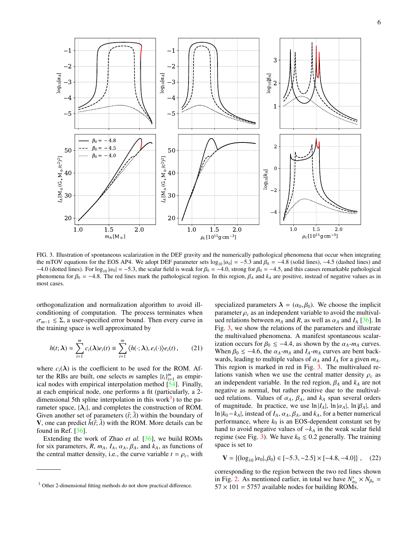

<span id="page-5-1"></span>FIG. 3. Illustration of spontaneous scalarization in the DEF gravity and the numerically pathological phenomena that occur when integrating the mTOV equations for the EOS AP4. We adopt DEF parameter sets  $\log_{10} |\alpha_0| = -5.3$  and  $\beta_0 = -4.8$  (solid lines), -4.5 (dashed lines) and −4.0 (dotted lines). For  $\log_{10} |\alpha_0| = -5.3$ , the scalar field is weak for  $\beta_0 = -4.0$ , strong for  $\beta_0 = -4.5$ , and this causes remarkable pathological phenomena for  $\beta_0 = -4.8$ . The red lines mark the pathological region. In this region,  $\beta_A$  and  $k_A$  are positive, instead of negative values as in most cases.

orthogonalization and normalization algorithm to avoid illconditioning of computation. The process terminates when  $\sigma_{m-1} \leq \Sigma$ , a user-specified error bound. Then every curve in the training space is well approximated by

$$
h(t; \lambda) \approx \sum_{i=1}^{m} c_i(\lambda) e_i(t) \equiv \sum_{i=1}^{m} \langle h(\cdot; \lambda), e_i(\cdot) \rangle e_i(t), \qquad (21)
$$

where  $c_i(\lambda)$  is the coefficient to be used for the ROM. After the RBs are built, one selects *m* samples  $\{t_i\}_{i=1}^m$  as empirical nodes with empirical interpolation method [\[54\]](#page-14-19). Finally, at each empirical node, one performs a fit (particularly, a 2- dimensional 5th spline interpolation in this work<sup>[3](#page-5-0)</sup>) to the parameter space,  $\{\lambda_i\}$ , and completes the construction of ROM. Given another set of parameters  $(\tilde{t}; \tilde{\lambda})$  within the boundary of **V**, one can predict  $\tilde{h}(\tilde{t}; \tilde{\lambda})$  with the ROM. More details can be found in Ref.  $[36]$ .

Extending the work of Zhao *et al.* [\[36\]](#page-14-1), we build ROMs for six parameters,  $R$ ,  $m_A$ ,  $I_A$ ,  $\alpha_A$ ,  $\beta_A$ , and  $k_A$ , as functions of the central matter density, i.e., the curve variable  $t = \rho_c$ , with

specialized parameters  $\lambda = (\alpha_0, \beta_0)$ . We choose the implicit parameter  $\rho_c$  as an independent variable to avoid the multivalued relations between  $m_A$  and  $R$ , as well as  $\alpha_A$  and  $I_A$  [\[36\]](#page-14-1). In Fig. [3,](#page-5-1) we show the relations of the parameters and illustrate the multivalued phenomena. A manifest spontaneous scalarization occurs for  $\beta_0 \le -4.4$ , as shown by the  $\alpha_A$ - $m_A$  curves. When  $\beta_0 \le -4.6$ , the  $\alpha_A - m_A$  and  $I_A - m_A$  curves are bent backwards, leading to multiple values of  $\alpha_A$  and  $I_A$  for a given  $m_A$ . This region is marked in red in Fig. [3.](#page-5-1) The multivalued relations vanish when we use the central matter density  $\rho_c$  as an independent variable. In the red region,  $\beta_A$  and  $k_A$  are not negative as normal, but rather positive due to the multivalued relations. Values of  $\alpha_A$ ,  $\beta_A$ , and  $k_A$  span several orders of magnitude. In practice, we use  $\ln |I_A|$ ,  $\ln |\alpha_A|$ ,  $\ln |\beta_A|$ , and ln  $|k_0 - k_A|$ , instead of  $I_A$ ,  $\alpha_A$ ,  $\beta_A$ , and  $k_A$ , for a better numerical performance, where  $k_0$  is an EOS-dependent constant set by hand to avoid negative values of −*k<sup>A</sup>* in the weak scalar field regime (see Fig. [3\)](#page-5-1). We have  $k_0 \le 0.2$  generally. The training space is set to

$$
\mathbf{V} = \{ (\log_{10} |\alpha_0|, \beta_0) \in [-5.3, -2.5] \times [-4.8, -4.0] \}, \quad (22)
$$

corresponding to the region between the two red lines shown in Fig. [2.](#page-4-0) As mentioned earlier, in total we have  $N'_{\alpha_0} \times N_{\beta_0} =$ <br>57 × 101 = 5757 systleble nodes for building POM<sub>0</sub>  $\frac{1}{27} \times 101 = 5757$  available nodes for building ROMs.

<span id="page-5-0"></span><sup>&</sup>lt;sup>3</sup> Other 2-dimensional fitting methods do not show practical difference.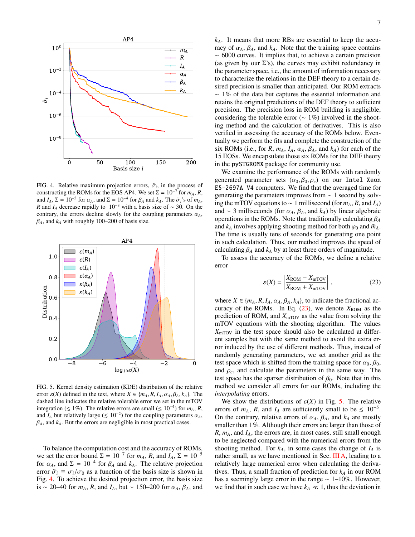

<span id="page-6-0"></span>FIG. 4. Relative maximum projection errors,  $\tilde{\sigma}_i$ , in the process of constructing the ROMs for the FOS  $\Delta P A$ , We set  $\Sigma = 10^{-7}$  for  $m_i$ , R constructing the ROMs for the EOS AP4. We set  $\Sigma = 10^{-7}$  for  $m_A$ , *R*, and  $I_A$ ,  $\Sigma = 10^{-5}$  for  $\alpha_A$ , and  $\Sigma = 10^{-4}$  for  $\beta_A$  and  $k_A$ . The  $\tilde{\sigma}_i$ 's of  $m_A$ ,  $R$  and  $I_A$  decrease rapidly to  $10^{-8}$  with a basis size of  $\sim 30$ . On the *R* and *I<sub>A</sub>* decrease rapidly to 10<sup>-8</sup> with a basis size of ~ 30. On the contrary, the errors decline slowly for the coupling parameters  $\alpha_A$ ,  $\beta_A$ , and  $k_A$  with roughly 100–200 of basis size.



<span id="page-6-2"></span>FIG. 5. Kernel density estimation (KDE) distribution of the relative error  $\varepsilon(X)$  defined in the text, where  $X \in \{m_A, R, I_A, \alpha_A, \beta_A, k_A\}$ . The dashed line indicates the relative tolerable error we set in the mTOV integration ( $\leq 1\%$ ). The relative errors are small ( $\leq 10^{-4}$ ) for *m*<sub>*A*</sub>, *R*, and  $I_A$  but relatively large ( $\leq 10^{-2}$ ) for the coupling parameters  $\alpha_A$ ,  $\beta_A$ , and  $k_A$ . But the errors are negligible in most practical cases  $\beta_A$ , and  $k_A$ . But the errors are negligible in most practical cases.

To balance the computation cost and the accuracy of ROMs, we set the error bound  $\Sigma = 10^{-7}$  for  $m_A$ , R, and  $I_A$ ,  $\Sigma = 10^{-5}$ for  $\alpha_A$ , and  $\Sigma = 10^{-4}$  for  $\beta_A$  and  $k_A$ . The relative projection<br>error  $\tilde{\sigma} = \sigma/\sigma_0$  as a function of the basis size is shown in error  $\tilde{\sigma}_i \equiv \sigma_i/\sigma_0$  as a function of the basis size is shown in Fig. [4.](#page-6-0) To achieve the desired projection error, the basis size is <sup>∼</sup> 20–40 for *<sup>m</sup>A*, *<sup>R</sup>*, and *<sup>I</sup>A*, but <sup>∼</sup> 150–200 for α*<sup>A</sup>*, β*<sup>A</sup>*, and *kA*. It means that more RBs are essential to keep the accuracy of  $\alpha_A$ ,  $\beta_A$ , and  $k_A$ . Note that the training space contains ∼ 6000 curves. It implies that, to achieve a certain precision (as given by our  $\Sigma$ 's), the curves may exhibit redundancy in the parameter space, i.e., the amount of information necessary to characterize the relations in the DEF theory to a certain desired precision is smaller than anticipated. Our ROM extracts ∼ 1% of the data but captures the essential information and retains the original predictions of the DEF theory to sufficient precision. The precision loss in ROM building is negligible, considering the tolerable error ( $\sim 1\%$ ) involved in the shooting method and the calculation of derivatives. This is also verified in assessing the accuracy of the ROMs below. Eventually we perform the fits and complete the construction of the six ROMs (i.e., for *R*,  $m_A$ ,  $I_A$ ,  $\alpha_A$ ,  $\beta_A$ , and  $k_A$ ) for each of the 15 EOSs. We encapsulate those six ROMs for the DEF theory in the pySTGROMX package for community use.

We examine the performance of the ROMs with randomly generated parameter sets  $(\alpha_0, \beta_0, \rho_c)$  on our Intel Xeon E5-2697A V4 computers. We find that the averaged time for generating the parameters improves from ∼ 1 second by solving the mTOV equations to ∼ 1 millisecond (for *mA*, *R*, and *IA*) and  $\sim$  3 milliseconds (for  $\alpha_A$ ,  $\beta_A$ , and  $k_A$ ) by linear algebraic operations in the ROMs. Note that traditionally calculating <sup>β</sup>*<sup>A</sup>* and  $k_A$  involves applying shooting method for both  $\varphi_0$  and  $\bar{m}_A$ . The time is usually tens of seconds for generating one point in such calculation. Thus, our method improves the speed of calculating  $\beta_A$  and  $k_A$  by at least three orders of magnitude.

To assess the accuracy of the ROMs, we define a relative error

<span id="page-6-1"></span>
$$
\varepsilon(X) = \left| \frac{X_{\text{ROM}} - X_{\text{mTOV}}}{X_{\text{ROM}} + X_{\text{mTOV}}} \right|, \qquad (23)
$$

where  $X \in \{m_A, R, I_A, \alpha_A, \beta_A, k_A\}$ , to indicate the fractional accuracy of the ROMs. In Eq.  $(23)$ , we denote  $X_{\text{ROM}}$  as the prediction of ROM, and  $X_{\text{mTOV}}$  as the value from solving the mTOV equations with the shooting algorithm. The values  $X_{\text{mTOV}}$  in the test space should also be calculated at different samples but with the same method to avoid the extra error induced by the use of different methods. Thus, instead of randomly generating parameters, we set another grid as the test space which is shifted from the training space for  $\alpha_0$ ,  $\beta_0$ , and  $\rho_c$ , and calculate the parameters in the same way. The test space has the sparser distribution of  $\beta_0$ . Note that in this method we consider all errors for our ROMs, including the *interpolating* errors.

We show the distributions of  $\varepsilon(X)$  in Fig. [5.](#page-6-2) The relative errors of  $m_A$ ,  $R$ , and  $I_A$  are sufficiently small to be  $\leq 10^{-5}$ . On the contrary, relative errors of  $\alpha_A$ ,  $\beta_A$ , and  $k_A$  are mostly smaller than 1%. Although their errors are larger than those of *R*, *mA*, and *IA*, the errors are, in most cases, still small enough to be neglected compared with the numerical errors from the shooting method. For  $k_A$ , in some cases the change of  $I_A$  is rather small, as we have mentioned in Sec. [III A,](#page-3-4) leading to a relatively large numerical error when calculating the derivatives. Thus, a small fraction of prediction for *k<sup>A</sup>* in our ROM has a seemingly large error in the range ∼ 1–10%. However, we find that in such case we have  $k_A \ll 1$ , thus the deviation in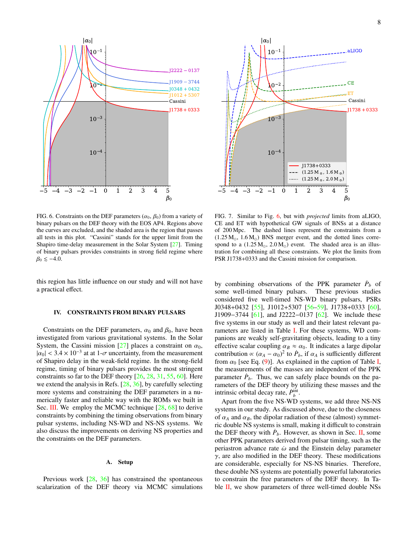

<span id="page-7-1"></span>FIG. 6. Constraints on the DEF parameters  $(\alpha_0, \beta_0)$  from a variety of binary pulsars on the DEF theory with the EOS AP4. Regions above the curves are excluded, and the shaded area is the region that passes all tests in this plot. "Cassini" stands for the upper limit from the Shapiro time-delay measurement in the Solar System [\[27\]](#page-13-21). Timing of binary pulsars provides constraints in strong field regime where  $\beta_0 \lesssim -4.0.$ 

this region has little influence on our study and will not have a practical effect.

# <span id="page-7-0"></span>IV. CONSTRAINTS FROM BINARY PULSARS

Constraints on the DEF parameters,  $\alpha_0$  and  $\beta_0$ , have been investigated from various gravitational systems. In the Solar System, the Cassini mission [\[27\]](#page-13-21) places a constraint on  $\alpha_0$ ,  $|\alpha_0| < 3.4 \times 10^{-3}$  at at 1- $\sigma$  uncertainty, from the measurement<br>of Shapiro delay in the weak-field regime. In the strong-field of Shapiro delay in the weak-field regime. In the strong-field regime, timing of binary pulsars provides the most stringent constraints so far to the DEF theory [\[26,](#page-13-20) [28,](#page-13-23) [31,](#page-13-27) [55,](#page-14-20) [60\]](#page-14-21). Here we extend the analysis in Refs. [\[28,](#page-13-23) [36\]](#page-14-1), by carefully selecting more systems and constraining the DEF parameters in a numerically faster and reliable way with the ROMs we built in Sec. [III.](#page-3-0) We employ the MCMC technique [\[28,](#page-13-23) [68\]](#page-14-22) to derive constraints by combining the timing observations from binary pulsar systems, including NS-WD and NS-NS systems. We also discuss the improvements on deriving NS properties and the constraints on the DEF parameters.

# A. Setup

Previous work [\[28,](#page-13-23) [36\]](#page-14-1) has constrained the spontaneous scalarization of the DEF theory via MCMC simulations



<span id="page-7-2"></span>FIG. 7. Similar to Fig. [6,](#page-7-1) but with *projected* limits from aLIGO, CE and ET with hypothetical GW signals of BNSs at a distance of 200 Mpc. The dashed lines represent the constraints from a  $(1.25 M_{\odot}, 1.6 M_{\odot})$  BNS merger event, and the dotted lines correspond to a  $(1.25 M_{\odot}, 2.0 M_{\odot})$  event. The shaded area is an illustration for combining all these constraints. We plot the limits from PSR J1738+0333 and the Cassini mission for comparison.

by combining observations of the PPK parameter  $\dot{P}_b$  of some well-timed binary pulsars. These previous studies considered five well-timed NS-WD binary pulsars, PSRs J0348+0432 [\[55\]](#page-14-20), J1012+5307 [\[56](#page-14-23)[–59\]](#page-14-24), J1738+0333 [\[60\]](#page-14-21), J1909−3744 [\[61\]](#page-14-25), and J2222−0137 [\[62\]](#page-14-26). We include these five systems in our study as well and their latest relevant parameters are listed in Table [I.](#page-8-0) For these systems, WD companions are weakly self-gravitating objects, leading to a tiny effective scalar coupling  $\alpha_B \approx \alpha_0$ . It indicates a large dipolar contribution  $\propto (\alpha_A - \alpha_0)^2$  to  $\dot{P}_b$ , if  $\alpha_A$  is sufficiently different<br>from  $\alpha_0$  [see Eq. (9)]. As explained in the caption of Table I from  $\alpha_0$  [see Eq. [\(9\)](#page-2-4)]. As explained in the caption of Table [I,](#page-8-0) the measurements of the masses are independent of the PPK parameter  $\dot{P}_b$ . Thus, we can safely place bounds on the parameters of the DEF theory by utilizing these masses and the intrinsic orbital decay rate,  $\dot{P}_b^{\text{int}}$ .

Apart from the five NS-WD systems, we add three NS-NS systems in our study. As discussed above, due to the closeness of  $\alpha_A$  and  $\alpha_B$ , the dipolar radiation of these (almost) symmetric double NS systems is small, making it difficult to constrain the DEF theory with  $\dot{P}_b$ . However, as shown in Sec. [II,](#page-2-0) some other PPK parameters derived from pulsar timing, such as the periastron advance rate  $\dot{\omega}$  and the Einstein delay parameter  $\gamma$ , are also modified in the DEF theory. These modifications are considerable, especially for NS-NS binaries. Therefore, these double NS systems are potentially powerful laboratories to constrain the free parameters of the DEF theory. In Ta-ble [II,](#page-8-1) we show parameters of three well-timed double NSs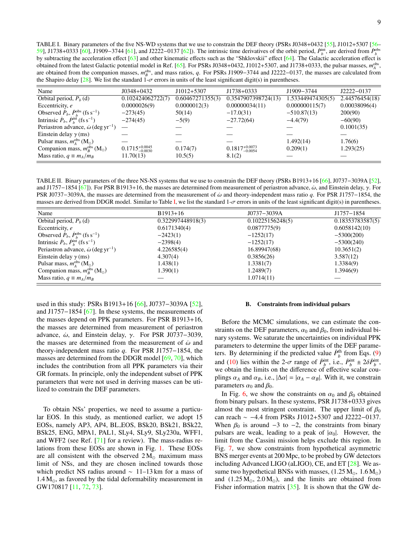<span id="page-8-0"></span>TABLE I. Binary parameters of the five NS-WD systems that we use to constrain the DEF theory (PSRs J0348+0432 [\[55\]](#page-14-20), J1012+5307 [\[56–](#page-14-23) [59\]](#page-14-24), J1738+0333 [\[60\]](#page-14-21), J1909−3744 [\[61\]](#page-14-25), and J2222−0137 [\[62\]](#page-14-26)). The intrinsic time derivatives of the orbit period,  $\dot{P}_b^{\text{int}}$ , are derived from  $\dot{P}_b^{\text{obs}}$ by subtracting the acceleration effect [\[63\]](#page-14-27) and other kinematic effects such as the "Shklovskii" effect [\[64\]](#page-14-28). The Galactic acceleration effect is obtained from the latest Galactic potential model in Ref. [\[65\]](#page-14-29). For PSRs J0348+0432, J1012+5307, and J1738+0333, the pulsar masses,  $m_A^{obs}$ , are obtained from the companion masses,  $m_B^{obs}$ , and mass ratios, *q*. For PSRs J1909−3744 and J2222−0137, the masses are calculated from the Shapiro delay [\[28\]](#page-13-23). We list the standard 1- $\sigma$  errors in units of the least significant digit(s) in parentheses.

| Name                                                                   | $J0348+0432$                 | $J1012+5307$     | $J1738+0333$                 | J1909-3744        | J2222-0137     |
|------------------------------------------------------------------------|------------------------------|------------------|------------------------------|-------------------|----------------|
| Orbital period, $P_h$ (d)                                              | 0.102424062722(7)            | 0.60467271355(3) | 0.3547907398724(13)          | 1.533449474305(5) | 2.44576454(18) |
| Eccentricity, e                                                        | 0.0000026(9)                 | 0.0000012(3)     | 0.00000034(11)               | 0.000000115(7)    | 0.00038096(4)  |
| Observed $\dot{P}_b$ , $\dot{P}_b^{\text{obs}}$ (fs s <sup>-1</sup> )  | $-273(45)$                   | 50(14)           | $-17.0(31)$                  | $-510.87(13)$     | 200(90)        |
| Intrinsic $\dot{P}_b$ , $\dot{P}_b^{\text{int}}$ (fs s <sup>-1</sup> ) | $-274(45)$                   | $-5(9)$          | $-27.72(64)$                 | $-4.4(79)$        | $-60(90)$      |
| Periastron advance, $\dot{\omega}$ (deg yr <sup>-1</sup> )             |                              |                  |                              |                   | 0.1001(35)     |
| Einstein delay $\gamma$ (ms)                                           |                              |                  |                              |                   |                |
| Pulsar mass, $m_{\rm A}^{\rm obs}\,({\rm M_\odot})$                    |                              |                  |                              | 1.492(14)         | 1.76(6)        |
| Companion mass, $m_R^{\text{obs}}$ (M <sub>o</sub> )                   | $0.1715_{-0.0030}^{+0.0045}$ | 0.174(7)         | $0.1817_{-0.0054}^{+0.0073}$ | 0.209(1)          | 1.293(25)      |
| Mass ratio, $q \equiv m_A/m_B$                                         | 11.70(13)                    | 10.5(5)          | 8.1(2)                       |                   |                |

<span id="page-8-1"></span>TABLE II. Binary parameters of the three NS-NS systems that we use to constrain the DEF theory (PSRs B1913+16 [\[66\]](#page-14-30), J0737−3039A [\[52\]](#page-14-17), and J1757–1854 [\[67\]](#page-14-31)). For PSR B1913+16, the masses are determined from measurement of periastron advance,  $\dot{\omega}$ , and Einstein delay,  $\gamma$ . For PSR J0737−3039A, the masses are determined from the measurement of ˙ω and theory-independent mass ratio *<sup>q</sup>*. For PSR J1757−1854, the masses are derived from DDGR model. Similar to Table [I,](#page-8-0) we list the standard  $1-\sigma$  errors in units of the least significant digit(s) in parentheses.

| Name                                                                   | $B1913+16$        | J0737-3039A      | J1757-1854       |
|------------------------------------------------------------------------|-------------------|------------------|------------------|
| Orbital period, $P_h$ (d)                                              | 0.322997448918(3) | 0.10225156248(5) | 0.18353783587(5) |
| Eccentricity, e                                                        | 0.6171340(4)      | 0.0877775(9)     | 0.6058142(10)    |
| Observed $\dot{P}_b$ , $\dot{P}_b^{\text{obs}}$ (fs s <sup>-1</sup> )  | $-2423(1)$        | $-1252(17)$      | $-5300(200)$     |
| Intrinsic $\dot{P}_b$ , $\dot{P}_b^{\text{int}}$ (fs s <sup>-1</sup> ) | $-2398(4)$        | $-1252(17)$      | $-5300(240)$     |
| Periastron advance, $\dot{\omega}$ (deg yr <sup>-1</sup> )             | 4.226585(4)       | 16.89947(68)     | 10.3651(2)       |
| Einstein delay $\gamma$ (ms)                                           | 4.307(4)          | 0.3856(26)       | 3.587(12)        |
| Pulsar mass, $m_{\rm A}^{\rm obs}\,({\rm M_\odot})$                    | 1.438(1)          | 1.3381(7)        | 1.3384(9)        |
| Companion mass, $m_R^{\text{obs}}$ (M <sub>o</sub> )                   | 1.390(1)          | 1.2489(7)        | 1.3946(9)        |
| Mass ratio, $q \equiv m_A/m_B$                                         |                   | 1.0714(11)       |                  |

used in this study: PSRs B1913+16 [\[66\]](#page-14-30), J0737−3039A [\[52\]](#page-14-17), and J1757−1854 [\[67\]](#page-14-31). In these systems, the measurements of the masses depend on PPK parameters. For PSR B1913+16, the masses are determined from measurement of periastron advance,  $\dot{\omega}$ , and Einstein delay,  $\gamma$ . For PSR J0737-3039, the masses are determined from the measurement of  $\dot{\omega}$  and theory-independent mass ratio *q*. For PSR J1757−1854, the masses are determined from the DDGR model [\[69,](#page-14-32) [70\]](#page-14-33), which includes the contribution from all PPK parameters via their GR formats. In principle, only the independent subset of PPK parameters that were not used in deriving masses can be utilized to constrain the DEF parameters.

To obtain NSs' properties, we need to assume a particular EOS. In this study, as mentioned earlier, we adopt 15 EOSs, namely AP3, AP4, BL EOS, BSk20, BSk21, BSk22, BSk25, ENG, MPA1, PAL1, SLy4, SLy9, SLy230a, WFF1, and WFF2 (see Ref. [\[71\]](#page-14-34) for a review). The mass-radius relations from these EOSs are shown in Fig. [1.](#page-3-1) These EOSs are all consistent with the observed  $2 M_{\odot}$  maximum mass limit of NSs, and they are chosen inclined towards those which predict NS radius around  $\sim 11-13 \text{ km}$  for a mass of  $1.4 M_{\odot}$ , as favored by the tidal deformability measurement in GW170817 [\[11,](#page-13-7) [72,](#page-14-35) [73\]](#page-14-36).

### B. Constraints from individual pulsars

Before the MCMC simulations, we can estimate the constraints on the DEF parameters,  $\alpha_0$  and  $\beta_0$ , from individual binary systems. We saturate the uncertainties on individual PPK parameters to determine the upper limits of the DEF parameters. By determining if the predicted value  $\dot{P}_b^{\text{th}}$  from Eqs. [\(9\)](#page-2-4) and [\(10\)](#page-2-4) lies within the 2- $\sigma$  range of  $\dot{P}_{b}^{\text{int}}$ , i.e.,  $\dot{P}_{b}^{\text{int}} \pm 2\delta \dot{P}_{b}^{\text{int}}$ , we obtain the limits on the difference of effective scalar couwe obtain the limits on the difference of effective scalar couplings  $\alpha_A$  and  $\alpha_B$ , i.e.,  $|\Delta \alpha| = |\alpha_A - \alpha_B|$ . With it, we constrain parameters  $\alpha_0$  and  $\beta_0$ .

In Fig. [6,](#page-7-1) we show the constraints on  $\alpha_0$  and  $\beta_0$  obtained from binary pulsars. In these systems, PSR J1738+0333 gives almost the most stringent constraint. The upper limit of  $\beta_0$ can reach ∼ −4.4 from PSRs J1012+5307 and J2222−0137. When  $\beta_0$  is around  $-3$  to  $-2$ , the constraints from binary pulsars are weak, leading to a peak of  $|\alpha_0|$ . However, the limit from the Cassini mission helps exclude this region. In Fig. [7,](#page-7-2) we show constraints from hypothetical asymmetric BNS merger events at 200 Mpc, to be probed by GW detectors including Advanced LIGO (aLIGO), CE, and ET [\[28\]](#page-13-23). We assume two hypothetical BNSs with masses,  $(1.25 M_{\odot}, 1.6 M_{\odot})$ and  $(1.25 M_{\odot}, 2.0 M_{\odot})$ , and the limits are obtained from Fisher information matrix [\[35\]](#page-14-0). It is shown that the GW de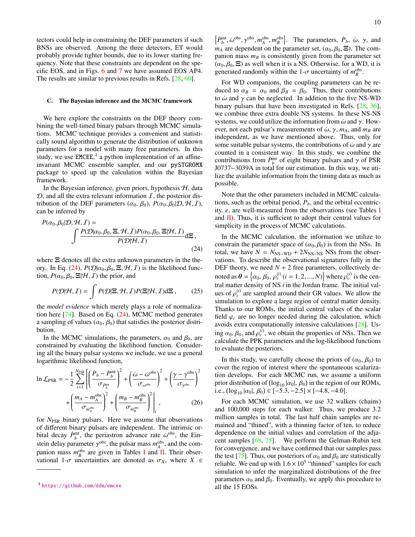tectors could help in constraining the DEF parameters if such BNSs are observed. Among the three detectors, ET would probably provide tighter bounds, due to its lower starting frequency. Note that these constraints are dependent on the specific EOS, and in Figs. [6](#page-7-1) and [7](#page-7-2) we have assumed EOS AP4. The results are similar to previous results in Refs. [\[28,](#page-13-23) [60\]](#page-14-21).

# C. The Bayesian inference and the MCMC framework

We here explore the constraints on the DEF theory combining the well-timed binary pulsars through MCMC simulations. MCMC technique provides a convenient and statistically sound algorithm to generate the distribution of unknown parameters for a model with many free parameters. In this study, we use  $EMCEE$ ,<sup>[4](#page-9-0)</sup> a python implementation of an affineinvariant MCMC ensemble sampler, and our pySTGROMX package to speed up the calculation within the Bayesian framework.

In the Bayesian inference, given priors, hypothesis  $H$ , data  $D$ , and all the extra relevant information  $I$ , the posterior distribution of the DEF parameters  $(\alpha_0, \beta_0)$ ,  $P(\alpha_0, \beta_0 | \mathcal{D}, \mathcal{H}, I)$ , can be inferred by

<span id="page-9-1"></span>
$$
P(\alpha_0, \beta_0 | \mathcal{D}, \mathcal{H}, I) = \int \frac{P(\mathcal{D}|\alpha_0, \beta_0, \Xi, \mathcal{H}, I) P(\alpha_0, \beta_0, \Xi | \mathcal{H}, I)}{P(\mathcal{D} | \mathcal{H}, I)} d\Xi,
$$
\n(24)

where  $\Xi$  denotes all the extra unknown parameters in the the-ory. In Eq. [\(24\)](#page-9-1),  $P(\mathcal{D}|\alpha_0, \beta_0, \Xi, \mathcal{H}, I)$  is the likelihood function,  $P(\alpha_0, \beta_0, \Xi | \mathcal{H}, I)$  the prior, and

$$
P(\mathcal{D}|\mathcal{H},I) = \int P(\mathcal{D}|\Xi,\mathcal{H},I)P(\Xi|\mathcal{H},I)d\Xi,
$$
 (25)

the *model evidence* which merely plays a role of normalization here [\[74\]](#page-14-37). Based on Eq. [\(24\)](#page-9-1), MCMC method generates a sampling of values  $(\alpha_0, \beta_0)$  that satisfies the posterior distribution.

In the MCMC simulations, the parameters,  $\alpha_0$  and  $\beta_0$ , are constrained by evaluating the likelihood function. Considering all the binary pulsar systems we include, we use a general logarithmic likelihood function,

$$
\ln \mathcal{L}_{\rm PSR} = -\frac{1}{2} \sum_{i=1}^{N_{\rm PSR}} \left[ \left( \frac{\dot{P}_b - \dot{P}_b^{\rm int}}{\sigma_{\dot{P}_b^{\rm int}}} \right)^2 + \left( \frac{\dot{\omega} - \dot{\omega}^{\rm obs}}{\sigma_{\dot{\omega}^{\rm obs}}} \right)^2 + \left( \frac{\gamma - \gamma^{\rm obs}}{\sigma_{\gamma^{\rm obs}}} \right)^2 \right] + \left( \frac{m_A - m_A^{\rm obs}}{\sigma_{m_A^{\rm obs}}} \right)^2 + \left( \frac{m_B - m_B^{\rm obs}}{\sigma_{m_B^{\rm obs}}} \right)^2 \Big|_{i}, \tag{26}
$$

for *N*<sub>PSR</sub> binary pulsars. Here we assume that observations of different binary pulsars are independent. The intrinsic orbital decay  $\dot{P}_{b}^{\text{int}}$ , the periastron advance rate  $\dot{\omega}^{\text{obs}}$ , the Ein-<br>stein delay permeter  $\dot{\omega}^{\text{obs}}$  the pulser mass  $m^{\text{obs}}$  and the comstein delay parameter  $\gamma^{obs}$ , the pulsar mass  $m_A^{obs}$ , and the com-<br>papien mass  $m_B^{obs}$  are given in Tables **L** and **H**. Their obser panion mass  $m_B^{\text{obs}}$  are given in Tables [I](#page-8-0) and [II.](#page-8-1) Their observational 1- $\sigma$  uncertainties are denoted as  $\sigma_X$ , where  $X \in$ 

 $\left\{\frac{\dot{P}_{b}^{\text{int}}}{b}, \dot{\omega}^{\text{obs}}, \gamma^{\text{obs}}, m^{\text{obs}}_B, m^{\text{obs}}_B\right\}$ . The parameters,  $\dot{P}_b$ ,  $\dot{\omega}, \gamma$ , and  $m_A$  are dependent on the parameter set,  $(\alpha_0, \beta_0, \Xi)$ . The companion mass  $m<sub>B</sub>$  is consistently given from the parameter set  $(\alpha_0, \beta_0, \Xi)$  as well when it is a NS. Otherwise, for a WD, it is generated randomly within the 1- $\sigma$  uncertainty of  $m_B^{obs}$ .

For WD companions, the coupling parameters can be reduced to  $\alpha_B = \alpha_0$  and  $\beta_B = \beta_0$ . Thus, their contributions to  $\dot{\omega}$  and  $\gamma$  can be neglected. In addition to the five NS-WD binary pulsars that have been investigated in Refs. [\[28,](#page-13-23) [36\]](#page-14-1), we combine three extra double NS systems. In these NS-NS systems, we could utilize the information from  $\dot{\omega}$  and  $\gamma$ . However, not each pulsar's measurements of  $\dot{\omega}$ ,  $\gamma$ ,  $m_A$ , and  $m_B$  are independent, as we have mentioned above. Thus, only for some suitable pulsar systems, the contributions of  $\dot{\omega}$  and  $\gamma$  are counted in a consistent way. In this study, we combine the contributions from  $\dot{P}_b^{\text{int}}$  of eight binary pulsars and  $\gamma$  of PSR I0737–3039A in total for our estimation. In this way we uti-J0737−3039A in total for our estimation. In this way, we utilize the available information from the timing data as much as possible.

Note that the other parameters included in MCMC calculations, such as the orbital period,  $P_b$ , and the orbital eccentricity, *e*, are well-measured from the observations (see Tables [I](#page-8-0) and  $\overline{II}$ ). Thus, it is sufficient to adopt their central values for simplicity in the process of MCMC calculations.

In the MCMC calculation, the information we utilize to constrain the parameter space of  $(\alpha_0, \beta_0)$  is from the NSs. In total, we have  $N = N_{\text{NS-WD}} + 2N_{\text{NS-NS}}$  NSs from the observations. To describe the observational signatures fully in the DEF theory, we need  $N + 2$  free parameters, collectively denoted as  $\theta = \{\alpha_0, \beta_0, \rho_c^{(i)} (i = 1, 2, ..., N)\}\$  where  $\rho_c^{(i)}$  is the central matter density of NS *i* in the Jordan frame. The initial value tral matter density of NS *i* in the Jordan frame. The initial values of  $\rho_c^{(i)}$  are sampled around their GR values. We allow the simulation to explore a large region of central matter density simulation to explore a large region of central matter density. Thanks to our ROMs, the initial central values of the scalar field  $\varphi_c$  are no longer needed during the calculation, which avoids extra computationally intensive calculations [\[28\]](#page-13-23). Using  $\alpha_0$ ,  $\beta_0$ , and  $\rho_c^{(i)}$ , we obtain the properties of NSs. Then we calculate the PPK parameters and the log-likelihood functions calculate the PPK parameters and the log-likelihood functions to evaluate the posteriors.

In this study, we carefully choose the priors of  $(\alpha_0, \beta_0)$  to cover the region of interest where the spontaneous scalarization develops. For each MCMC run, we assume a uniform prior distribution of  $(\log_{10} |\alpha_0|, \beta_0)$  in the region of our ROMs,<br>i.e.  $(\log_{10} |\alpha_0|, \beta_0) \in [-5, 3, -2, 5] \times [-4, 8, -4, 0]$ i.e.,  $(\log_{10} |\alpha_0|, \beta_0) \in [-5.3, -2.5] \times [-4.8, -4.0]$ .

For each MCMC simulation, we use 32 walkers (chains) and 100,000 steps for each walker. Thus, we produce 3.2 million samples in total. The last half chain samples are remained and "thined", with a thinning factor of ten, to reduce dependence on the initial values and correlation of the adjacent samples [\[68,](#page-14-22) [75\]](#page-14-38). We perform the Gelman-Rubin test for convergence, and we have confirmed that our samples pass the test [\[75\]](#page-14-38). Thus, our posteriors of  $\alpha_0$  and  $\beta_0$  are statistically reliable. We end up with  $1.6 \times 10^5$  "thinned" samples for each simulation to infer the marginalized distributions of the free simulation to infer the marginalized distributions of the free parameters  $\alpha_0$  and  $\beta_0$ . Eventually, we apply this procedure to all the 15 EOSs.

<span id="page-9-0"></span><sup>4</sup> <https://github.com/dfm/emcee>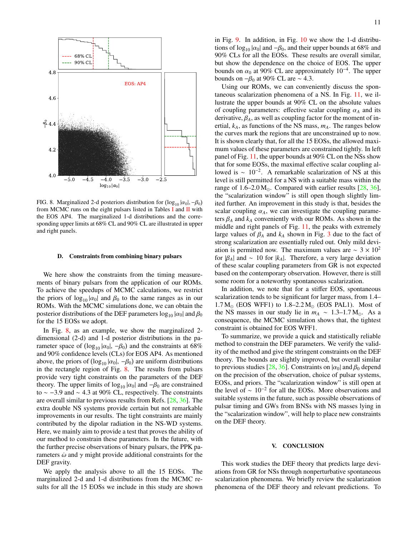

<span id="page-10-1"></span>FIG. 8. Marginalized 2-d posteriors distribution for  $(\log_{10} |\alpha_0|, -\beta_0)$ <br>from MCMC runs on the eight pulsars listed in Tables Land II with from MCMC runs on the eight pulsars listed in Tables [I](#page-8-0) and [II](#page-8-1) with the EOS AP4. The marginalized 1-d distributions and the corresponding upper limits at 68% CL and 90% CL are illustrated in upper and right panels.

# D. Constraints from combining binary pulsars

We here show the constraints from the timing measurements of binary pulsars from the application of our ROMs. To achieve the speedups of MCMC calculations, we restrict the priors of  $log_{10} |\alpha_0|$  and  $\beta_0$  to the same ranges as in our ROMs. With the MCMC simulations done, we can obtain the posterior distributions of the DEF parameters  $\log_{10} |\alpha_0|$  and  $\beta_0$ for the 15 EOSs we adopt.

In Fig. [8,](#page-10-1) as an example, we show the marginalized 2 dimensional (2-d) and 1-d posterior distributions in the parameter space of  $(\log_{10}|\alpha_0|, -\beta_0)$  and the constraints at 68%<br>and 90% confidence levels (CI s) for EOS AP4. As mentioned and 90% confidence levels (CLs) for EOS AP4. As mentioned above, the priors of  $(\log_{10} |\alpha_0|, -\beta_0)$  are uniform distributions<br>in the rectangle region of Fig. 8. The results from pulsars in the rectangle region of Fig. [8.](#page-10-1) The results from pulsars provide very tight constraints on the parameters of the DEF theory. The upper limits of  $log_{10} |\alpha_0|$  and  $-\beta_0$  are constrained to ∼ −3.9 and <sup>∼</sup> <sup>4</sup>.3 at 90% CL, respectively. The constraints are overall similar to previous results from Refs. [\[28,](#page-13-23) [36\]](#page-14-1). The extra double NS systems provide certain but not remarkable improvements in our results. The tight constraints are mainly contributed by the dipolar radiation in the NS-WD systems. Here, we mainly aim to provide a test that proves the ability of our method to constrain these parameters. In the future, with the further precise observations of binary pulsars, the PPK parameters  $\dot{\omega}$  and  $\gamma$  might provide additional constraints for the DEF gravity.

We apply the analysis above to all the 15 EOSs. The marginalized 2-d and 1-d distributions from the MCMC results for all the 15 EOSs we include in this study are shown

in Fig. [9.](#page-11-0) In addition, in Fig. [10](#page-12-0) we show the 1-d distributions of  $log_{10}$  | $\alpha_0$ | and  $-\beta_0$ , and their upper bounds at 68% and 90% CLs for all the EOSs. These results are overall similar, but show the dependence on the choice of EOS. The upper bounds on  $\alpha_0$  at 90% CL are approximately 10<sup>-4</sup>. The upper bounds on  $-\beta_0$  at 90% CL are  $\sim 4.3$ bounds on  $-\beta_0$  at 90% CL are ~ 4.3.

Using our ROMs, we can conveniently discuss the spontaneous scalarization phenomena of a NS. In Fig. [11,](#page-12-1) we illustrate the upper bounds at 90% CL on the absolute values of coupling parameters: effective scalar coupling  $\alpha_A$  and its derivative,  $\beta_A$ , as well as coupling factor for the moment of inertial,  $k_A$ , as functions of the NS mass,  $m_A$ . The ranges below the curves mark the regions that are unconstrained up to now. It is shown clearly that, for all the 15 EOSs, the allowed maximum values of these parameters are constrained tightly. In left panel of Fig. [11,](#page-12-1) the upper bounds at 90% CL on the NSs show that for some EOSs, the maximal effective scalar coupling allowed is  $\sim 10^{-2}$ . A remarkable scalarization of NS at this level is still permitted for a NS with a suitable mass within the range of  $1.6-2.0 M_{\odot}$ . Compared with earlier results [\[28,](#page-13-23) [36\]](#page-14-1), the "scalarization window" is still open though slightly limited further. An improvement in this study is that, besides the scalar coupling  $\alpha_A$ , we can investigate the coupling parameters  $\beta_A$  and  $k_A$  conveniently with our ROMs. As shown in the middle and right panels of Fig. [11,](#page-12-1) the peaks with extremely large values of  $\beta_A$  and  $k_A$  shown in Fig. [3](#page-5-1) due to the fact of strong scalarization are essentially ruled out. Only mild deviation is permitted now. The maximum values are  $\sim 3 \times 10^2$ for  $|\beta_A|$  and ~ 10 for  $|k_A|$ . Therefore, a very large deviation of these scalar coupling parameters from GR is not expected based on the contemporary observation. However, there is still some room for a noteworthy spontaneous scalarization.

In addition, we note that for a stiffer EOS, spontaneous scalarization tends to be significant for larger mass, from 1.4–  $1.7 M_{\odot}$  (EOS WFF1) to  $1.8-2.2 M_{\odot}$  (EOS PAL1). Most of the NS masses in our study lie in  $m_A \sim 1.3-1.7$  M<sub>o</sub>. As a consequence, the MCMC simulation shows that, the tightest constraint is obtained for EOS WFF1.

To summarize, we provide a quick and statistically reliable method to constrain the DEF parameters. We verify the validity of the method and give the stringent constraints on the DEF theory. The bounds are slightly improved, but overall similar to previous studies [\[28,](#page-13-23) [36\]](#page-14-1). Constraints on  $|\alpha_0|$  and  $\beta_0$  depend on the precision of the observation, choice of pulsar systems, EOSs, and priors. The "scalarization window" is still open at the level of  $\sim 10^{-2}$  for all the EOSs. More observations and suitable systems in the future, such as possible observations of pulsar timing and GWs from BNSs with NS masses lying in the "scalarization window", will help to place new constraints on the DEF theory.

### <span id="page-10-0"></span>V. CONCLUSION

This work studies the DEF theory that predicts large deviations from GR for NSs through nonperturbative spontaneous scalarization phenomena. We briefly review the scalarization phenomena of the DEF theory and relevant predictions. To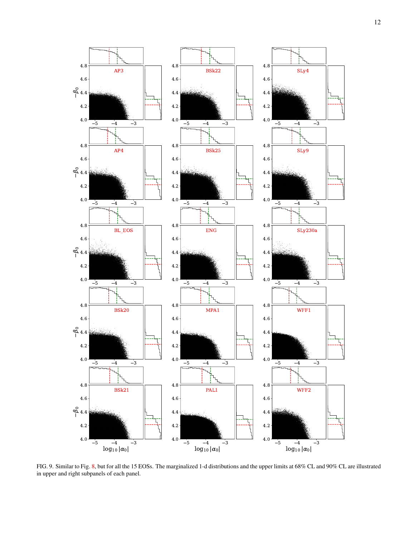

<span id="page-11-0"></span>FIG. 9. Similar to Fig. [8,](#page-10-1) but for all the 15 EOSs. The marginalized 1-d distributions and the upper limits at 68% CL and 90% CL are illustrated in upper and right subpanels of each panel.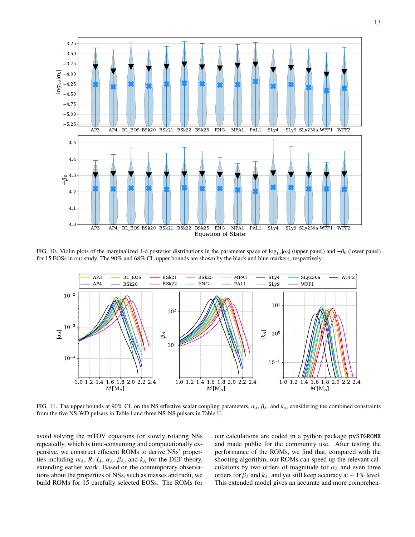

<span id="page-12-0"></span>FIG. 10. Violin plots of the marginalized 1-d posterior distributions in the parameter space of log<sub>10</sub>  $|\alpha_0|$  (upper panel) and  $-\beta_0$  (lower panel) for 15 EOSs in our study. The 90% and 68% CL upper bounds are shown by the black and blue markers, respectively.



<span id="page-12-1"></span>FIG. 11. The upper bounds at 90% CL on the NS effective scalar coupling parameters, α*<sup>A</sup>*, β*<sup>A</sup>*, and *<sup>k</sup>A*, considering the combined constraints from the five NS-WD pulsars in Table [I](#page-8-0) and three NS-NS pulsars in Table [II.](#page-8-1)

avoid solving the mTOV equations for slowly rotating NSs repeatedly, which is time-consuming and computationally expensive, we construct efficient ROMs to derive NSs' properties including  $m_A$ ,  $R$ ,  $I_A$ ,  $\alpha_A$ ,  $\beta_A$ , and  $k_A$  for the DEF theory, extending earlier work. Based on the contemporary observations about the properties of NSs, such as masses and radii, we build ROMs for 15 carefully selected EOSs. The ROMs for

our calculations are coded in a python package pySTGROMX and made public for the community use. After testing the performance of the ROMs, we find that, compared with the shooting algorithm, our ROMs can speed up the relevant calculations by two orders of magnitude for  $\alpha_A$  and even three orders for  $\beta_A$  and  $k_A$ , and yet still keep accuracy at ~ 1% level. This extended model gives an accurate and more comprehen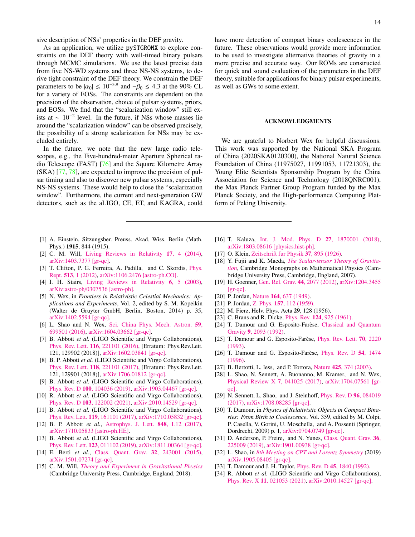sive description of NSs' properties in the DEF gravity.

As an application, we utilize pySTGROMX to explore constraints on the DEF theory with well-timed binary pulsars through MCMC simulations. We use the latest precise data from five NS-WD systems and three NS-NS systems, to derive tight constraint of the DEF theory. We constrain the DEF parameters to be  $|\alpha_0| \le 10^{-3.9}$  and  $-\beta_0 \le 4.3$  at the 90% CL for a variety of FOSs. The constraints are dependent on the for a variety of EOSs. The constraints are dependent on the precision of the observation, choice of pulsar systems, priors, and EOSs. We find that the "scalarization window" still exists at  $\sim 10^{-2}$  level. In the future, if NSs whose masses lie around the "scalarization window" can be observed precisely, the possibility of a strong scalarization for NSs may be excluded entirely.

In the future, we note that the new large radio telescopes, e.g., the Five-hundred-meter Aperture Spherical radio Telescope (FAST) [\[76\]](#page-14-39) and the Square Kilometre Array (SKA) [\[77,](#page-14-40) [78\]](#page-14-41), are expected to improve the precision of pulsar timing and also to discover new pulsar systems, especially NS-NS systems. These would help to close the "scalarization window". Furthermore, the current and next-generation GW detectors, such as the aLIGO, CE, ET, and KAGRA, could

- <span id="page-13-0"></span>[1] A. Einstein, Sitzungsber. Preuss. Akad. Wiss. Berlin (Math. Phys.) 1915, 844 (1915).
- <span id="page-13-1"></span>[2] C. M. Will, [Living Reviews in Relativity](http://dx.doi.org/10.12942/lrr-2014-4) 17, 4 (2014), [arXiv:1403.7377 \[gr-qc\].](http://arxiv.org/abs/1403.7377)
- <span id="page-13-2"></span>[3] T. Clifton, P. G. Ferreira, A. Padilla, and C. Skordis, [Phys.](http://dx.doi.org/10.1016/j.physrep.2012.01.001) Rept. 513[, 1 \(2012\),](http://dx.doi.org/10.1016/j.physrep.2012.01.001) [arXiv:1106.2476 \[astro-ph.CO\].](http://arxiv.org/abs/1106.2476)
- <span id="page-13-3"></span>[4] I. H. Stairs, [Living Reviews in Relativity](http://dx.doi.org/10.12942/lrr-2003-5) 6, 5 (2003), arXiv:astro-ph/[0307536 \[astro-ph\].](http://arxiv.org/abs/astro-ph/0307536)
- <span id="page-13-26"></span>[5] N. Wex, in *Frontiers in Relativistic Celestial Mechanics: Applications and Experiments*, Vol. 2, edited by S. M. Kopeikin (Walter de Gruyter GmbH, Berlin, Boston, 2014) p. 35, [arXiv:1402.5594 \[gr-qc\].](http://arxiv.org/abs/1402.5594)
- <span id="page-13-4"></span>[6] L. Shao and N. Wex, [Sci. China Phys. Mech. Astron.](http://dx.doi.org/10.1007/s11433-016-0087-6) 59, [699501 \(2016\),](http://dx.doi.org/10.1007/s11433-016-0087-6) [arXiv:1604.03662 \[gr-qc\].](http://arxiv.org/abs/1604.03662)
- <span id="page-13-5"></span>[7] B. Abbott *et al.* (LIGO Scientific and Virgo Collaborations), Phys. Rev. Lett. 116[, 221101 \(2016\),](http://dx.doi.org/10.1103/PhysRevLett.116.221101) [Erratum: Phys.Rev.Lett. 121, 129902 (2018)], [arXiv:1602.03841 \[gr-qc\].](http://arxiv.org/abs/1602.03841)
- <span id="page-13-31"></span>[8] B. P. Abbott *et al.* (LIGO Scientific and Virgo Collaborations), Phys. Rev. Lett. 118[, 221101 \(2017\),](http://dx.doi.org/10.1103/PhysRevLett.118.221101) [Erratum: Phys.Rev.Lett. 121, 129901 (2018)], [arXiv:1706.01812 \[gr-qc\].](http://arxiv.org/abs/1706.01812)
- [9] B. Abbott *et al.* (LIGO Scientific and Virgo Collaborations), Phys. Rev. D 100[, 104036 \(2019\),](http://dx.doi.org/10.1103/PhysRevD.100.104036) [arXiv:1903.04467 \[gr-qc\].](http://arxiv.org/abs/1903.04467)
- <span id="page-13-6"></span>[10] R. Abbott *et al.* (LIGO Scientific and Virgo Collaborations), Phys. Rev. D 103[, 122002 \(2021\),](http://dx.doi.org/10.1103/PhysRevD.103.122002) [arXiv:2010.14529 \[gr-qc\].](http://arxiv.org/abs/2010.14529)
- <span id="page-13-7"></span>[11] B. Abbott *et al.* (LIGO Scientific and Virgo Collaborations), Phys. Rev. Lett. 119[, 161101 \(2017\),](http://dx.doi.org/10.1103/PhysRevLett.119.161101) [arXiv:1710.05832 \[gr-qc\].](http://arxiv.org/abs/1710.05832)
- [12] B. P. Abbott *et al.*, [Astrophys. J. Lett.](http://dx.doi.org/10.3847/2041-8213/aa91c9) **848**, L12 (2017), [arXiv:1710.05833 \[astro-ph.HE\].](http://arxiv.org/abs/1710.05833)
- <span id="page-13-8"></span>[13] B. Abbott *et al.* (LIGO Scientific and Virgo Collaborations), Phys. Rev. Lett. 123[, 011102 \(2019\),](http://dx.doi.org/10.1103/PhysRevLett.123.011102) [arXiv:1811.00364 \[gr-qc\].](http://arxiv.org/abs/1811.00364)
- <span id="page-13-9"></span>[14] E. Berti *et al.*, [Class. Quant. Grav.](http://dx.doi.org/10.1088/0264-9381/32/24/243001) 32, 243001 (2015), [arXiv:1501.07274 \[gr-qc\].](http://arxiv.org/abs/1501.07274)
- <span id="page-13-10"></span>[15] C. M. Will, *[Theory and Experiment in Gravitational Physics](https://www.cambridge.org/academic/subjects/physics/cosmology-relativity-and-gravitation/theory-and-experiment-gravitational-physics-2nd-edition?format=AR&isbn=9781108679824)* (Cambridge University Press, Cambridge, England, 2018).

have more detection of compact binary coalescences in the future. These observations would provide more information to be used to investigate alternative theories of gravity in a more precise and accurate way. Our ROMs are constructed for quick and sound evaluation of the parameters in the DEF theory, suitable for applications for binary pulsar experiments, as well as GWs to some extent.

### ACKNOWLEDGMENTS

We are grateful to Norbert Wex for helpful discussions. This work was supported by the National SKA Program of China (2020SKA0120300), the National Natural Science Foundation of China (11975027, 11991053, 11721303), the Young Elite Scientists Sponsorship Program by the China Association for Science and Technology (2018QNRC001), the Max Planck Partner Group Program funded by the Max Planck Society, and the High-performance Computing Platform of Peking University.

- <span id="page-13-11"></span>[16] T. Kaluza, [Int. J. Mod. Phys. D](http://dx.doi.org/10.1142/S0218271818700017) 27, 1870001 (2018), [arXiv:1803.08616 \[physics.hist-ph\].](http://arxiv.org/abs/1803.08616)
- <span id="page-13-12"></span>[17] O. Klein, [Zeitschrift fur Physik](http://dx.doi.org/10.1007/BF01397481) 37, 895 (1926).
- <span id="page-13-13"></span>[18] Y. Fujii and K. Maeda, *[The Scalar-tensor Theory of Gravita](http://dx.doi.org/10.1017/CBO9780511535093)[tion](http://dx.doi.org/10.1017/CBO9780511535093)*, Cambridge Monographs on Mathematical Physics (Cambridge University Press, Cambridge, England, 2007).
- <span id="page-13-14"></span>[19] H. Goenner, [Gen. Rel. Grav.](http://dx.doi.org/10.1007/s10714-012-1378-8) 44, 2077 (2012), [arXiv:1204.3455](http://arxiv.org/abs/1204.3455) [\[gr-qc\].](http://arxiv.org/abs/1204.3455)
- <span id="page-13-15"></span>[20] P. Jordan, Nature 164[, 637 \(1949\).](http://dx.doi.org/10.1038/164637a0)
- <span id="page-13-16"></span>[21] P. Jordan, Z. Phys. **157**[, 112 \(1959\).](http://dx.doi.org/10.1007/BF01375155)
- <span id="page-13-17"></span>[22] M. Fierz, Helv. Phys. Acta **29**, 128 (1956).
- <span id="page-13-18"></span>[23] C. Brans and R. Dicke, Phys. Rev. **124**[, 925 \(1961\).](http://dx.doi.org/10.1103/PhysRev.124.925)
- <span id="page-13-19"></span>[24] T. Damour and G. Esposito-Farèse, [Classical and Quantum](http://dx.doi.org/10.1088/0264-9381/9/9/015) Gravity 9[, 2093 \(1992\).](http://dx.doi.org/10.1088/0264-9381/9/9/015)
- <span id="page-13-22"></span>[25] T. Damour and G. Esposito-Farèse, [Phys. Rev. Lett.](http://dx.doi.org/10.1103/PhysRevLett.70.2220) 70, 2220 [\(1993\).](http://dx.doi.org/10.1103/PhysRevLett.70.2220)
- <span id="page-13-20"></span>[26] T. Damour and G. Esposito-Farèse, [Phys. Rev. D](http://dx.doi.org/10.1103/PhysRevD.54.1474) 54, 1474 [\(1996\).](http://dx.doi.org/10.1103/PhysRevD.54.1474)
- <span id="page-13-21"></span>[27] B. Bertotti, L. Iess, and P. Tortora, Nature 425[, 374 \(2003\).](http://dx.doi.org/10.1038/nature01997)
- <span id="page-13-23"></span>[28] L. Shao, N. Sennett, A. Buonanno, M. Kramer, and N. Wex, [Physical Review X](http://dx.doi.org/ 10.1103/PhysRevX.7.041025) 7, 041025 (2017), [arXiv:1704.07561 \[gr](http://arxiv.org/abs/1704.07561)[qc\].](http://arxiv.org/abs/1704.07561)
- <span id="page-13-24"></span>[29] N. Sennett, L. Shao, and J. Steinhoff, *[Phys. Rev. D](http://dx.doi.org/10.1103/PhysRevD.96.084019)* 96, 084019 [\(2017\),](http://dx.doi.org/10.1103/PhysRevD.96.084019) [arXiv:1708.08285 \[gr-qc\].](http://arxiv.org/abs/1708.08285)
- <span id="page-13-25"></span>[30] T. Damour, in *Physics of Relativistic Objects in Compact Binaries: From Birth to Coalescence*, Vol. 359, edited by M. Colpi, P. Casella, V. Gorini, U. Moschella, and A. Possenti (Springer, Dordrecht, 2009) p. 1, [arXiv:0704.0749 \[gr-qc\].](http://arxiv.org/abs/0704.0749)
- <span id="page-13-27"></span>[31] D. Anderson, P. Freire, and N. Yunes, [Class. Quant. Grav.](http://dx.doi.org/10.1088/1361-6382/ab3a1c) 36, [225009 \(2019\),](http://dx.doi.org/10.1088/1361-6382/ab3a1c) [arXiv:1901.00938 \[gr-qc\].](http://arxiv.org/abs/1901.00938)
- <span id="page-13-28"></span>[32] L. Shao, in *[8th Meeting on CPT and Lorentz Symmetry](http://dx.doi.org/10.1142/9789811213984_0043)* (2019) [arXiv:1905.08405 \[gr-qc\].](http://arxiv.org/abs/1905.08405)
- <span id="page-13-29"></span>[33] T. Damour and J. H. Taylor, *Phys. Rev. D* **45**[, 1840 \(1992\).](http://dx.doi.org/10.1103/PhysRevD.45.1840)
- <span id="page-13-30"></span>[34] R. Abbott *et al.* (LIGO Scientific and Virgo Collaborations), Phys. Rev. X 11[, 021053 \(2021\),](http://dx.doi.org/10.1103/PhysRevX.11.021053) [arXiv:2010.14527 \[gr-qc\].](http://arxiv.org/abs/2010.14527)